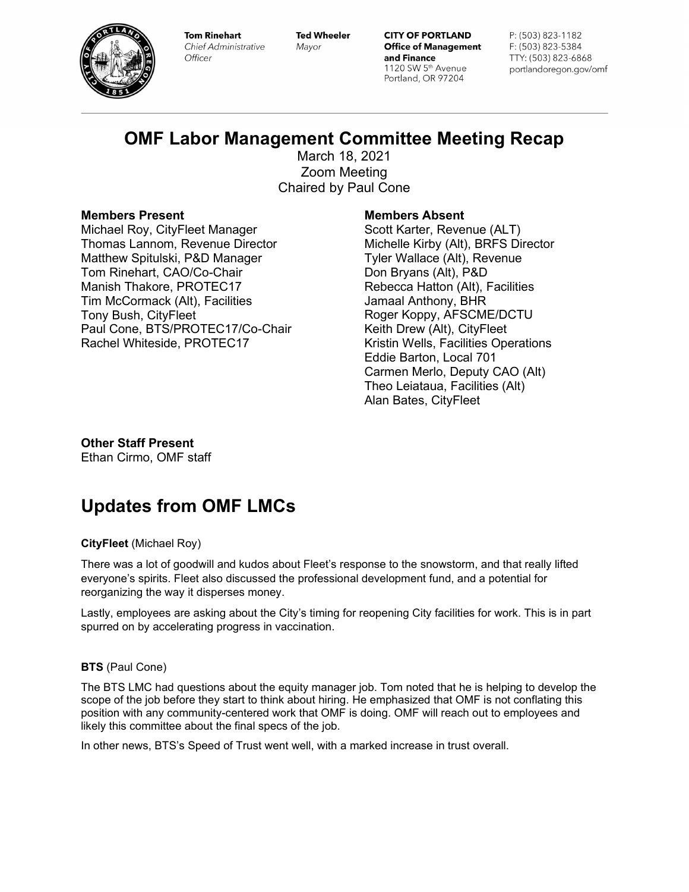

**Tom Rinehart** Chief Administrative Officer

**Ted Wheeler** Mayor

**CITY OF PORTLAND Office of Management** and Finance 1120 SW 5th Avenue Portland, OR 97204

P: (503) 823-1182 F: (503) 823-5384 TTY: (503) 823-6868 portlandoregon.gov/omf

## **OMF Labor Management Committee Meeting Recap**

March 18, 2021 Zoom Meeting Chaired by Paul Cone

## **Members Present**

Michael Roy, CityFleet Manager Thomas Lannom, Revenue Director Matthew Spitulski, P&D Manager Tom Rinehart, CAO/Co-Chair Manish Thakore, PROTEC17 Tim McCormack (Alt), Facilities Tony Bush, CityFleet Paul Cone, BTS/PROTEC17/Co-Chair Rachel Whiteside, PROTEC17

## **Members Absent**

Scott Karter, Revenue (ALT) Michelle Kirby (Alt), BRFS Director Tyler Wallace (Alt), Revenue Don Bryans (Alt), P&D Rebecca Hatton (Alt), Facilities Jamaal Anthony, BHR Roger Koppy, AFSCME/DCTU Keith Drew (Alt), CityFleet Kristin Wells, Facilities Operations Eddie Barton, Local 701 Carmen Merlo, Deputy CAO (Alt) Theo Leiataua, Facilities (Alt) Alan Bates, CityFleet

**Other Staff Present** Ethan Cirmo, OMF staff

# **Updates from OMF LMCs**

## **CityFleet** (Michael Roy)

There was a lot of goodwill and kudos about Fleet's response to the snowstorm, and that really lifted everyone's spirits. Fleet also discussed the professional development fund, and a potential for reorganizing the way it disperses money.

Lastly, employees are asking about the City's timing for reopening City facilities for work. This is in part spurred on by accelerating progress in vaccination.

## **BTS** (Paul Cone)

The BTS LMC had questions about the equity manager job. Tom noted that he is helping to develop the scope of the job before they start to think about hiring. He emphasized that OMF is not conflating this position with any community-centered work that OMF is doing. OMF will reach out to employees and likely this committee about the final specs of the job.

In other news, BTS's Speed of Trust went well, with a marked increase in trust overall.